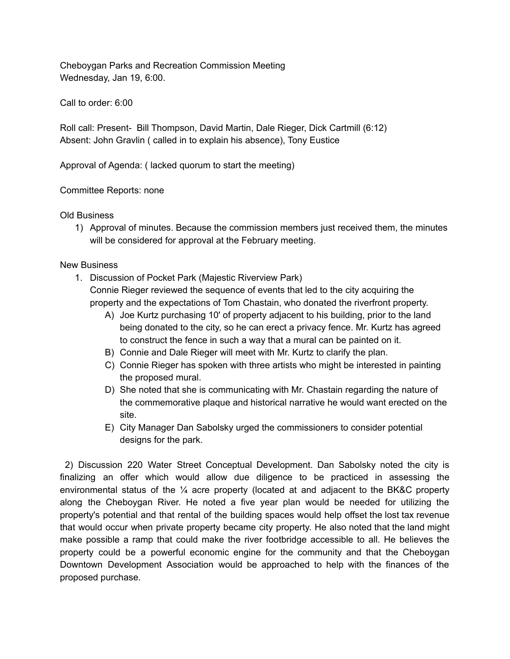Cheboygan Parks and Recreation Commission Meeting Wednesday, Jan 19, 6:00.

Call to order: 6:00

Roll call: Present- Bill Thompson, David Martin, Dale Rieger, Dick Cartmill (6:12) Absent: John Gravlin ( called in to explain his absence), Tony Eustice

Approval of Agenda: ( lacked quorum to start the meeting)

Committee Reports: none

## Old Business

1) Approval of minutes. Because the commission members just received them, the minutes will be considered for approval at the February meeting.

## New Business

- 1. Discussion of Pocket Park (Majestic Riverview Park) Connie Rieger reviewed the sequence of events that led to the city acquiring the property and the expectations of Tom Chastain, who donated the riverfront property.
	- A) Joe Kurtz purchasing 10' of property adjacent to his building, prior to the land being donated to the city, so he can erect a privacy fence. Mr. Kurtz has agreed to construct the fence in such a way that a mural can be painted on it.
	- B) Connie and Dale Rieger will meet with Mr. Kurtz to clarify the plan.
	- C) Connie Rieger has spoken with three artists who might be interested in painting the proposed mural.
	- D) She noted that she is communicating with Mr. Chastain regarding the nature of the commemorative plaque and historical narrative he would want erected on the site.
	- E) City Manager Dan Sabolsky urged the commissioners to consider potential designs for the park.

2) Discussion 220 Water Street Conceptual Development. Dan Sabolsky noted the city is finalizing an offer which would allow due diligence to be practiced in assessing the environmental status of the ¼ acre property (located at and adjacent to the BK&C property along the Cheboygan River. He noted a five year plan would be needed for utilizing the property's potential and that rental of the building spaces would help offset the lost tax revenue that would occur when private property became city property. He also noted that the land might make possible a ramp that could make the river footbridge accessible to all. He believes the property could be a powerful economic engine for the community and that the Cheboygan Downtown Development Association would be approached to help with the finances of the proposed purchase.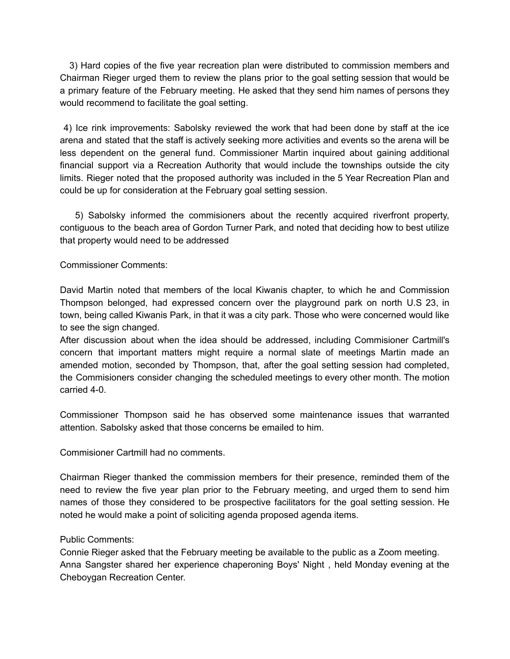3) Hard copies of the five year recreation plan were distributed to commission members and Chairman Rieger urged them to review the plans prior to the goal setting session that would be a primary feature of the February meeting. He asked that they send him names of persons they would recommend to facilitate the goal setting.

4) Ice rink improvements: Sabolsky reviewed the work that had been done by staff at the ice arena and stated that the staff is actively seeking more activities and events so the arena will be less dependent on the general fund. Commissioner Martin inquired about gaining additional financial support via a Recreation Authority that would include the townships outside the city limits. Rieger noted that the proposed authority was included in the 5 Year Recreation Plan and could be up for consideration at the February goal setting session.

5) Sabolsky informed the commisioners about the recently acquired riverfront property, contiguous to the beach area of Gordon Turner Park, and noted that deciding how to best utilize that property would need to be addressed

Commissioner Comments:

David Martin noted that members of the local Kiwanis chapter, to which he and Commission Thompson belonged, had expressed concern over the playground park on north U.S 23, in town, being called Kiwanis Park, in that it was a city park. Those who were concerned would like to see the sign changed.

After discussion about when the idea should be addressed, including Commisioner Cartmill's concern that important matters might require a normal slate of meetings Martin made an amended motion, seconded by Thompson, that, after the goal setting session had completed, the Commisioners consider changing the scheduled meetings to every other month. The motion carried 4-0.

Commissioner Thompson said he has observed some maintenance issues that warranted attention. Sabolsky asked that those concerns be emailed to him.

Commisioner Cartmill had no comments.

Chairman Rieger thanked the commission members for their presence, reminded them of the need to review the five year plan prior to the February meeting, and urged them to send him names of those they considered to be prospective facilitators for the goal setting session. He noted he would make a point of soliciting agenda proposed agenda items.

## Public Comments:

Connie Rieger asked that the February meeting be available to the public as a Zoom meeting. Anna Sangster shared her experience chaperoning Boys' Night , held Monday evening at the Cheboygan Recreation Center.